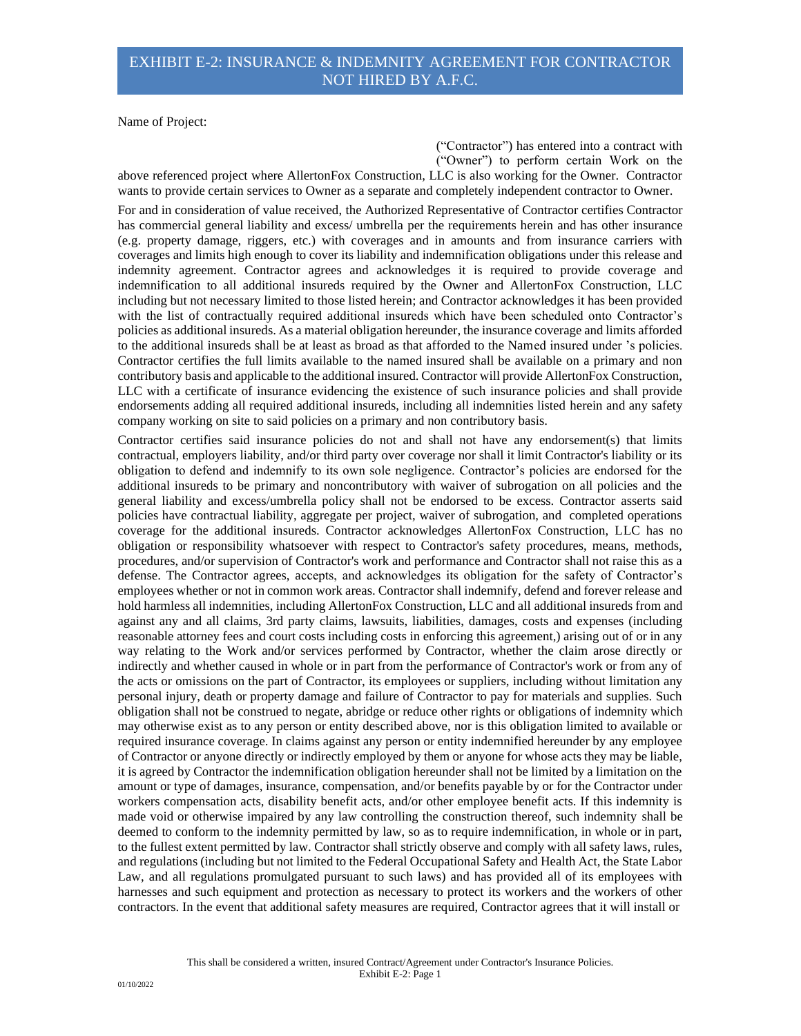Name of Project:

 ("Contractor") has entered into a contract with ("Owner") to perform certain Work on the

above referenced project where AllertonFox Construction, LLC is also working for the Owner. Contractor wants to provide certain services to Owner as a separate and completely independent contractor to Owner.

For and in consideration of value received, the Authorized Representative of Contractor certifies Contractor has commercial general liability and excess/ umbrella per the requirements herein and has other insurance (e.g. property damage, riggers, etc.) with coverages and in amounts and from insurance carriers with coverages and limits high enough to cover its liability and indemnification obligations under this release and indemnity agreement. Contractor agrees and acknowledges it is required to provide coverage and indemnification to all additional insureds required by the Owner and AllertonFox Construction, LLC including but not necessary limited to those listed herein; and Contractor acknowledges it has been provided with the list of contractually required additional insureds which have been scheduled onto Contractor's policies as additional insureds. As a material obligation hereunder, the insurance coverage and limits afforded to the additional insureds shall be at least as broad as that afforded to the Named insured under 's policies. Contractor certifies the full limits available to the named insured shall be available on a primary and non contributory basis and applicable to the additional insured. Contractor will provide AllertonFox Construction, LLC with a certificate of insurance evidencing the existence of such insurance policies and shall provide endorsements adding all required additional insureds, including all indemnities listed herein and any safety company working on site to said policies on a primary and non contributory basis.

Contractor certifies said insurance policies do not and shall not have any endorsement(s) that limits contractual, employers liability, and/or third party over coverage nor shall it limit Contractor's liability or its obligation to defend and indemnify to its own sole negligence. Contractor's policies are endorsed for the additional insureds to be primary and noncontributory with waiver of subrogation on all policies and the general liability and excess/umbrella policy shall not be endorsed to be excess. Contractor asserts said policies have contractual liability, aggregate per project, waiver of subrogation, and completed operations coverage for the additional insureds. Contractor acknowledges AllertonFox Construction, LLC has no obligation or responsibility whatsoever with respect to Contractor's safety procedures, means, methods, procedures, and/or supervision of Contractor's work and performance and Contractor shall not raise this as a defense. The Contractor agrees, accepts, and acknowledges its obligation for the safety of Contractor's employees whether or not in common work areas. Contractor shall indemnify, defend and forever release and hold harmless all indemnities, including AllertonFox Construction, LLC and all additional insureds from and against any and all claims, 3rd party claims, lawsuits, liabilities, damages, costs and expenses (including reasonable attorney fees and court costs including costs in enforcing this agreement,) arising out of or in any way relating to the Work and/or services performed by Contractor, whether the claim arose directly or indirectly and whether caused in whole or in part from the performance of Contractor's work or from any of the acts or omissions on the part of Contractor, its employees or suppliers, including without limitation any personal injury, death or property damage and failure of Contractor to pay for materials and supplies. Such obligation shall not be construed to negate, abridge or reduce other rights or obligations of indemnity which may otherwise exist as to any person or entity described above, nor is this obligation limited to available or required insurance coverage. In claims against any person or entity indemnified hereunder by any employee of Contractor or anyone directly or indirectly employed by them or anyone for whose acts they may be liable, it is agreed by Contractor the indemnification obligation hereunder shall not be limited by a limitation on the amount or type of damages, insurance, compensation, and/or benefits payable by or for the Contractor under workers compensation acts, disability benefit acts, and/or other employee benefit acts. If this indemnity is made void or otherwise impaired by any law controlling the construction thereof, such indemnity shall be deemed to conform to the indemnity permitted by law, so as to require indemnification, in whole or in part, to the fullest extent permitted by law. Contractor shall strictly observe and comply with all safety laws, rules, and regulations (including but not limited to the Federal Occupational Safety and Health Act, the State Labor Law, and all regulations promulgated pursuant to such laws) and has provided all of its employees with harnesses and such equipment and protection as necessary to protect its workers and the workers of other contractors. In the event that additional safety measures are required, Contractor agrees that it will install or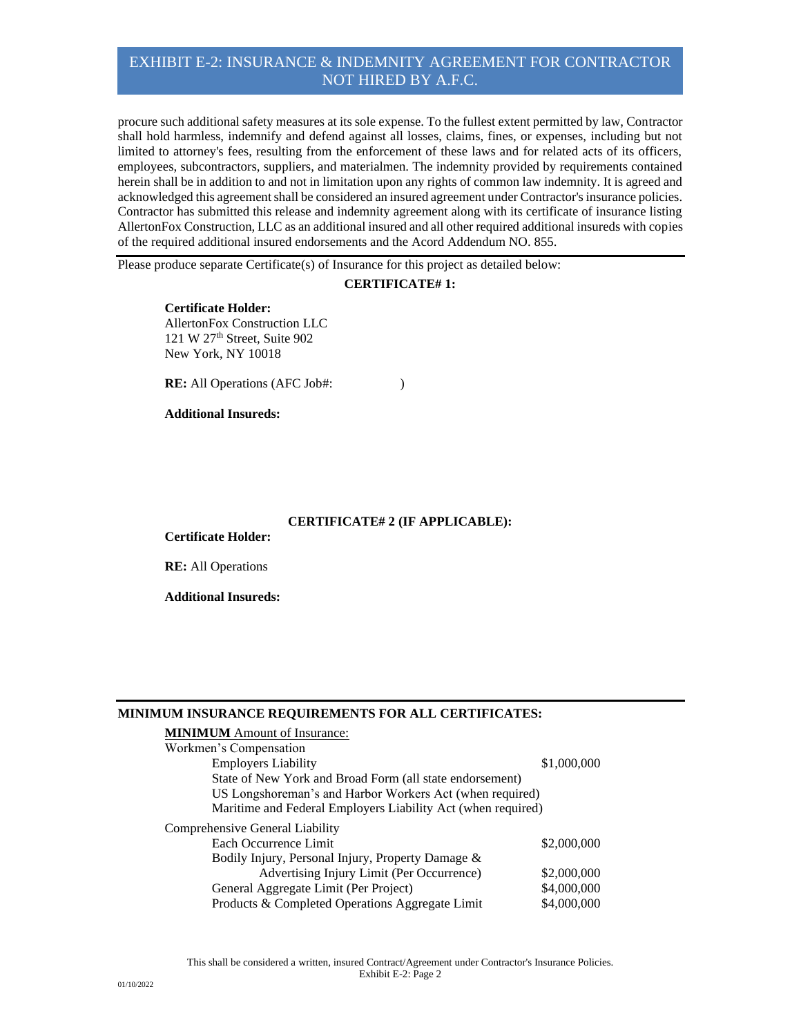## EXHIBIT E-2: INSURANCE & INDEMNITY AGREEMENT FOR CONTRACTOR NOT HIRED BY A.F.C.

procure such additional safety measures at its sole expense. To the fullest extent permitted by law, Contractor shall hold harmless, indemnify and defend against all losses, claims, fines, or expenses, including but not limited to attorney's fees, resulting from the enforcement of these laws and for related acts of its officers, employees, subcontractors, suppliers, and materialmen. The indemnity provided by requirements contained herein shall be in addition to and not in limitation upon any rights of common law indemnity. It is agreed and acknowledged this agreement shall be considered an insured agreement under Contractor's insurance policies. Contractor has submitted this release and indemnity agreement along with its certificate of insurance listing AllertonFox Construction, LLC as an additional insured and all other required additional insureds with copies of the required additional insured endorsements and the Acord Addendum NO. 855.

Please produce separate Certificate(s) of Insurance for this project as detailed below:

### **CERTIFICATE# 1:**

**Certificate Holder:** AllertonFox Construction LLC 121 W 27<sup>th</sup> Street, Suite 902 New York, NY 10018

**RE:** All Operations (AFC Job#: )

### **Additional Insureds:**

### **CERTIFICATE# 2 (IF APPLICABLE):**

**Certificate Holder:**

**RE:** All Operations

**Additional Insureds:**

#### **MINIMUM INSURANCE REQUIREMENTS FOR ALL CERTIFICATES:**

| <b>MINIMUM</b> Amount of Insurance:                          |             |
|--------------------------------------------------------------|-------------|
| Workmen's Compensation                                       |             |
| <b>Employers Liability</b>                                   | \$1,000,000 |
| State of New York and Broad Form (all state endorsement)     |             |
| US Longshoreman's and Harbor Workers Act (when required)     |             |
| Maritime and Federal Employers Liability Act (when required) |             |
| Comprehensive General Liability                              |             |
| Each Occurrence Limit                                        | \$2,000,000 |
| Bodily Injury, Personal Injury, Property Damage &            |             |
| Advertising Injury Limit (Per Occurrence)                    | \$2,000,000 |
| General Aggregate Limit (Per Project)                        | \$4,000,000 |
| Products & Completed Operations Aggregate Limit              | \$4,000,000 |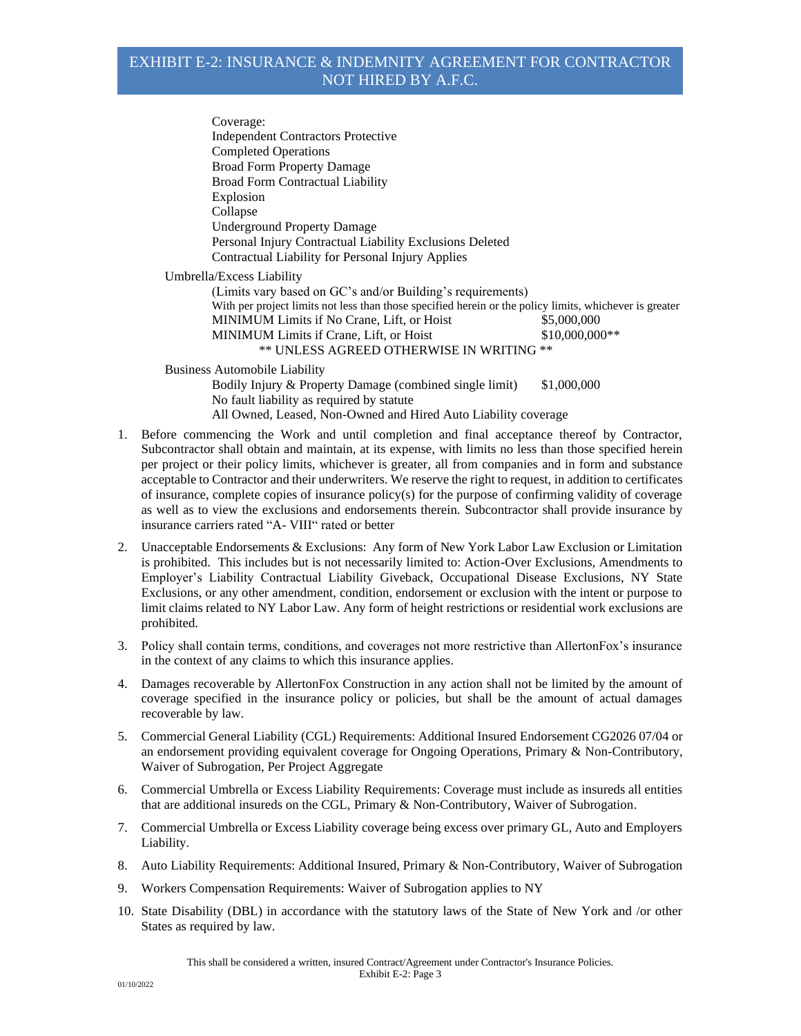# EXHIBIT E-2: INSURANCE & INDEMNITY AGREEMENT FOR CONTRACTOR NOT HIRED BY A.F.C.

Coverage: Independent Contractors Protective Completed Operations Broad Form Property Damage Broad Form Contractual Liability Explosion Collapse Underground Property Damage Personal Injury Contractual Liability Exclusions Deleted Contractual Liability for Personal Injury Applies Umbrella/Excess Liability (Limits vary based on GC's and/or Building's requirements) With per project limits not less than those specified herein or the policy limits, whichever is greater MINIMUM Limits if No Crane, Lift, or Hoist \$5,000,000 MINIMUM Limits if Crane, Lift, or Hoist  $$10,000,000**$ \*\* UNLESS AGREED OTHERWISE IN WRITING \*\* Business Automobile Liability

Bodily Injury & Property Damage (combined single limit) \$1,000,000 No fault liability as required by statute All Owned, Leased, Non-Owned and Hired Auto Liability coverage

- 1. Before commencing the Work and until completion and final acceptance thereof by Contractor, Subcontractor shall obtain and maintain, at its expense, with limits no less than those specified herein per project or their policy limits, whichever is greater, all from companies and in form and substance acceptable to Contractor and their underwriters. We reserve the right to request, in addition to certificates of insurance, complete copies of insurance policy(s) for the purpose of confirming validity of coverage as well as to view the exclusions and endorsements therein. Subcontractor shall provide insurance by insurance carriers rated "A- VIII" rated or better
- 2. Unacceptable Endorsements & Exclusions: Any form of New York Labor Law Exclusion or Limitation is prohibited. This includes but is not necessarily limited to: Action-Over Exclusions, Amendments to Employer's Liability Contractual Liability Giveback, Occupational Disease Exclusions, NY State Exclusions, or any other amendment, condition, endorsement or exclusion with the intent or purpose to limit claims related to NY Labor Law. Any form of height restrictions or residential work exclusions are prohibited.
- 3. Policy shall contain terms, conditions, and coverages not more restrictive than AllertonFox's insurance in the context of any claims to which this insurance applies.
- 4. Damages recoverable by AllertonFox Construction in any action shall not be limited by the amount of coverage specified in the insurance policy or policies, but shall be the amount of actual damages recoverable by law.
- 5. Commercial General Liability (CGL) Requirements: Additional Insured Endorsement CG2026 07/04 or an endorsement providing equivalent coverage for Ongoing Operations, Primary & Non-Contributory, Waiver of Subrogation, Per Project Aggregate
- 6. Commercial Umbrella or Excess Liability Requirements: Coverage must include as insureds all entities that are additional insureds on the CGL, Primary & Non-Contributory, Waiver of Subrogation.
- 7. Commercial Umbrella or Excess Liability coverage being excess over primary GL, Auto and Employers Liability.
- 8. Auto Liability Requirements: Additional Insured, Primary & Non-Contributory, Waiver of Subrogation
- 9. Workers Compensation Requirements: Waiver of Subrogation applies to NY
- 10. State Disability (DBL) in accordance with the statutory laws of the State of New York and /or other States as required by law.